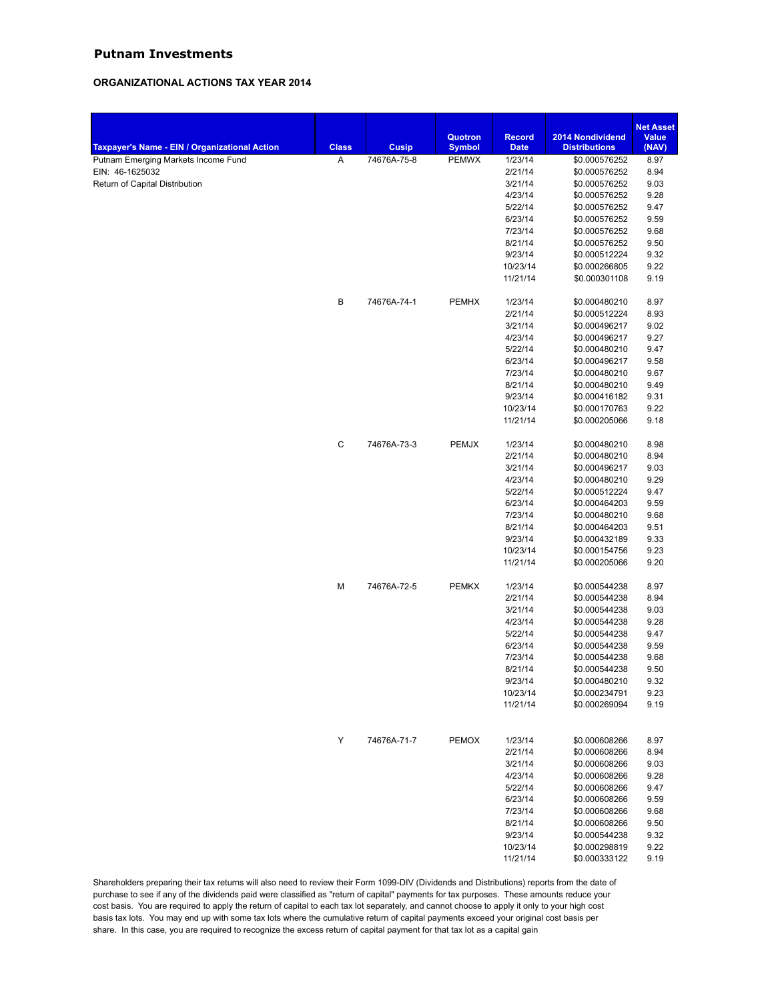## **Putnam Investments**

## **ORGANIZATIONAL ACTIONS TAX YEAR 2014**

|                                                                                      |                   |                             |                               |                        |                                       | <b>Net Asset</b> |
|--------------------------------------------------------------------------------------|-------------------|-----------------------------|-------------------------------|------------------------|---------------------------------------|------------------|
|                                                                                      |                   |                             | Quotron                       | <b>Record</b>          | 2014 Nondividend                      | <b>Value</b>     |
| Taxpayer's Name - EIN / Organizational Action<br>Putnam Emerging Markets Income Fund | <b>Class</b><br>Α | <b>Cusip</b><br>74676A-75-8 | <b>Symbol</b><br><b>PEMWX</b> | <b>Date</b><br>1/23/14 | <b>Distributions</b><br>\$0.000576252 | (NAV)<br>8.97    |
| EIN: 46-1625032                                                                      |                   |                             |                               | 2/21/14                | \$0.000576252                         | 8.94             |
| Return of Capital Distribution                                                       |                   |                             |                               | 3/21/14                | \$0.000576252                         | 9.03             |
|                                                                                      |                   |                             |                               | 4/23/14                | \$0.000576252                         | 9.28             |
|                                                                                      |                   |                             |                               | 5/22/14                | \$0.000576252                         | 9.47             |
|                                                                                      |                   |                             |                               | 6/23/14                | \$0.000576252                         | 9.59             |
|                                                                                      |                   |                             |                               | 7/23/14                | \$0.000576252                         | 9.68             |
|                                                                                      |                   |                             |                               | 8/21/14                | \$0.000576252                         | 9.50             |
|                                                                                      |                   |                             |                               | 9/23/14                | \$0.000512224                         | 9.32             |
|                                                                                      |                   |                             |                               | 10/23/14               | \$0.000266805                         | 9.22             |
|                                                                                      |                   |                             |                               | 11/21/14               | \$0.000301108                         | 9.19             |
|                                                                                      | B                 | 74676A-74-1                 | <b>PEMHX</b>                  | 1/23/14                | \$0.000480210                         | 8.97             |
|                                                                                      |                   |                             |                               | 2/21/14                | \$0.000512224                         | 8.93             |
|                                                                                      |                   |                             |                               | 3/21/14                | \$0.000496217                         | 9.02             |
|                                                                                      |                   |                             |                               | 4/23/14                | \$0.000496217                         | 9.27             |
|                                                                                      |                   |                             |                               | 5/22/14                | \$0.000480210                         | 9.47             |
|                                                                                      |                   |                             |                               | 6/23/14                | \$0.000496217                         | 9.58             |
|                                                                                      |                   |                             |                               | 7/23/14                | \$0.000480210                         | 9.67             |
|                                                                                      |                   |                             |                               | 8/21/14                | \$0.000480210                         | 9.49             |
|                                                                                      |                   |                             |                               | 9/23/14                | \$0.000416182                         | 9.31             |
|                                                                                      |                   |                             |                               | 10/23/14               | \$0.000170763                         | 9.22             |
|                                                                                      |                   |                             |                               | 11/21/14               | \$0.000205066                         | 9.18             |
|                                                                                      | $\mathsf C$       | 74676A-73-3                 | <b>PEMJX</b>                  | 1/23/14                | \$0.000480210                         | 8.98             |
|                                                                                      |                   |                             |                               | 2/21/14                | \$0.000480210                         | 8.94             |
|                                                                                      |                   |                             |                               | 3/21/14                | \$0.000496217                         | 9.03             |
|                                                                                      |                   |                             |                               | 4/23/14                | \$0.000480210                         | 9.29             |
|                                                                                      |                   |                             |                               | 5/22/14                | \$0.000512224                         | 9.47             |
|                                                                                      |                   |                             |                               | 6/23/14                | \$0.000464203                         | 9.59             |
|                                                                                      |                   |                             |                               | 7/23/14                | \$0.000480210                         | 9.68             |
|                                                                                      |                   |                             |                               | 8/21/14                | \$0.000464203                         | 9.51             |
|                                                                                      |                   |                             |                               | 9/23/14                | \$0.000432189                         | 9.33             |
|                                                                                      |                   |                             |                               | 10/23/14               | \$0.000154756                         | 9.23             |
|                                                                                      |                   |                             |                               | 11/21/14               | \$0.000205066                         | 9.20             |
|                                                                                      | М                 | 74676A-72-5                 | <b>PEMKX</b>                  | 1/23/14                | \$0.000544238                         | 8.97             |
|                                                                                      |                   |                             |                               | 2/21/14                | \$0.000544238                         | 8.94             |
|                                                                                      |                   |                             |                               | 3/21/14                | \$0.000544238                         | 9.03             |
|                                                                                      |                   |                             |                               | 4/23/14                | \$0.000544238                         | 9.28             |
|                                                                                      |                   |                             |                               | 5/22/14                | \$0.000544238                         | 9.47             |
|                                                                                      |                   |                             |                               | 6/23/14                | \$0.000544238                         | 9.59             |
|                                                                                      |                   |                             |                               | 7/23/14                | \$0.000544238                         | 9.68             |
|                                                                                      |                   |                             |                               | 8/21/14                | \$0.000544238                         | 9.50             |
|                                                                                      |                   |                             |                               | 9/23/14                | \$0.000480210                         | 9.32             |
|                                                                                      |                   |                             |                               | 10/23/14               | \$0.000234791                         | 9.23             |
|                                                                                      |                   |                             |                               | 11/21/14               | \$0.000269094                         | 9.19             |
|                                                                                      | Υ                 | 74676A-71-7                 | <b>PEMOX</b>                  | 1/23/14                | \$0.000608266                         | 8.97             |
|                                                                                      |                   |                             |                               | 2/21/14                | \$0.000608266                         | 8.94             |
|                                                                                      |                   |                             |                               | 3/21/14                | \$0.000608266                         | 9.03             |
|                                                                                      |                   |                             |                               | 4/23/14                | \$0.000608266                         | 9.28             |
|                                                                                      |                   |                             |                               | 5/22/14                | \$0.000608266                         | 9.47             |
|                                                                                      |                   |                             |                               | 6/23/14                | \$0.000608266                         | 9.59             |
|                                                                                      |                   |                             |                               | 7/23/14                | \$0.000608266                         | 9.68             |
|                                                                                      |                   |                             |                               | 8/21/14                | \$0.000608266                         | 9.50             |
|                                                                                      |                   |                             |                               | 9/23/14                | \$0.000544238                         | 9.32             |
|                                                                                      |                   |                             |                               | 10/23/14               | \$0.000298819                         | 9.22             |
|                                                                                      |                   |                             |                               | 11/21/14               | \$0.000333122                         | 9.19             |
|                                                                                      |                   |                             |                               |                        |                                       |                  |

Shareholders preparing their tax returns will also need to review their Form 1099-DIV (Dividends and Distributions) reports from the date of purchase to see if any of the dividends paid were classified as "return of capital" payments for tax purposes. These amounts reduce your cost basis. You are required to apply the return of capital to each tax lot separately, and cannot choose to apply it only to your high cost basis tax lots. You may end up with some tax lots where the cumulative return of capital payments exceed your original cost basis per share. In this case, you are required to recognize the excess return of capital payment for that tax lot as a capital gain